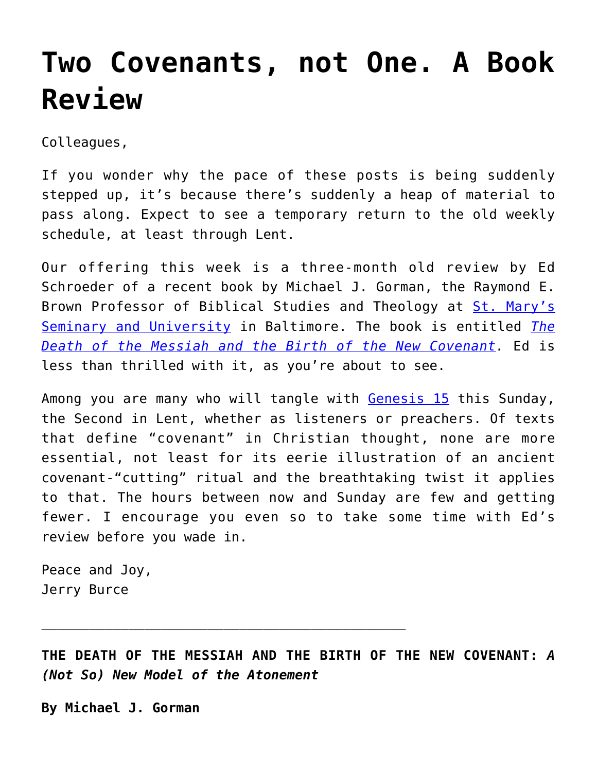## **[Two Covenants, not One. A Book](https://crossings.org/two-covenants-not-one-a-book-review/) [Review](https://crossings.org/two-covenants-not-one-a-book-review/)**

Colleagues,

If you wonder why the pace of these posts is being suddenly stepped up, it's because there's suddenly a heap of material to pass along. Expect to see a temporary return to the old weekly schedule, at least through Lent.

Our offering this week is a three-month old review by Ed Schroeder of a recent book by Michael J. Gorman, the Raymond E. Brown Professor of Biblical Studies and Theology at [St. Mary's](http://www.stmarys.edu/about-st-marys/) [Seminary and University](http://www.stmarys.edu/about-st-marys/) in Baltimore. The book is entitled *[The](http://wipfandstock.com/the-death-of-the-messiah-and-the-birth-of-the-new-covenant.html) [Death of the Messiah and the Birth of the New Covenant.](http://wipfandstock.com/the-death-of-the-messiah-and-the-birth-of-the-new-covenant.html)* Ed is less than thrilled with it, as you're about to see.

Among you are many who will tangle with [Genesis 15](http://bible.oremus.org/?ql=322902568) this Sunday, the Second in Lent, whether as listeners or preachers. Of texts that define "covenant" in Christian thought, none are more essential, not least for its eerie illustration of an ancient covenant-"cutting" ritual and the breathtaking twist it applies to that. The hours between now and Sunday are few and getting fewer. I encourage you even so to take some time with Ed's review before you wade in.

Peace and Joy, Jerry Burce

**THE DEATH OF THE MESSIAH AND THE BIRTH OF THE NEW COVENANT:** *A (Not So) New Model of the Atonement*

**By Michael J. Gorman**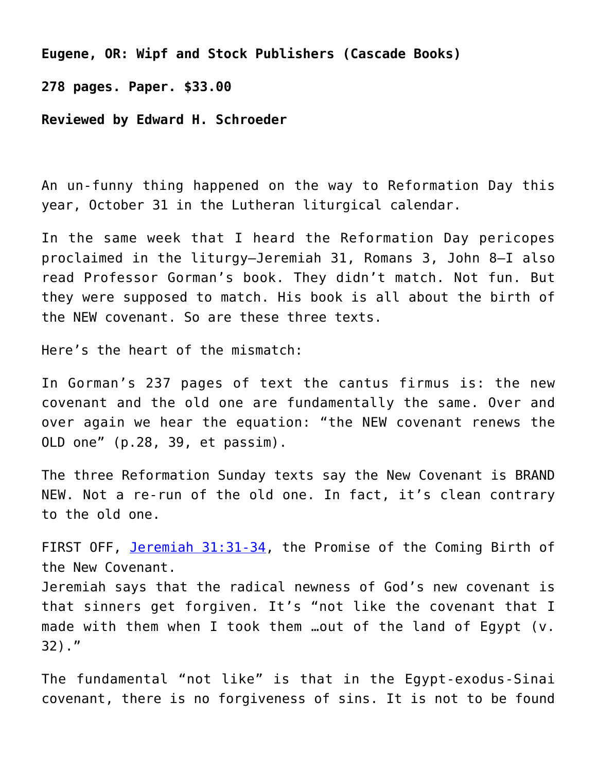**Eugene, OR: Wipf and Stock Publishers (Cascade Books)**

**278 pages. Paper. \$33.00**

**Reviewed by Edward H. Schroeder**

An un-funny thing happened on the way to Reformation Day this year, October 31 in the Lutheran liturgical calendar.

In the same week that I heard the Reformation Day pericopes proclaimed in the liturgy–Jeremiah 31, Romans 3, John 8–I also read Professor Gorman's book. They didn't match. Not fun. But they were supposed to match. His book is all about the birth of the NEW covenant. So are these three texts.

Here's the heart of the mismatch:

In Gorman's 237 pages of text the cantus firmus is: the new covenant and the old one are fundamentally the same. Over and over again we hear the equation: "the NEW covenant renews the OLD one" (p.28, 39, et passim).

The three Reformation Sunday texts say the New Covenant is BRAND NEW. Not a re-run of the old one. In fact, it's clean contrary to the old one.

FIRST OFF, [Jeremiah 31:31-34,](http://bible.oremus.org/?ql=322903310) the Promise of the Coming Birth of the New Covenant.

Jeremiah says that the radical newness of God's new covenant is that sinners get forgiven. It's "not like the covenant that I made with them when I took them …out of the land of Egypt (v. 32)."

The fundamental "not like" is that in the Egypt-exodus-Sinai covenant, there is no forgiveness of sins. It is not to be found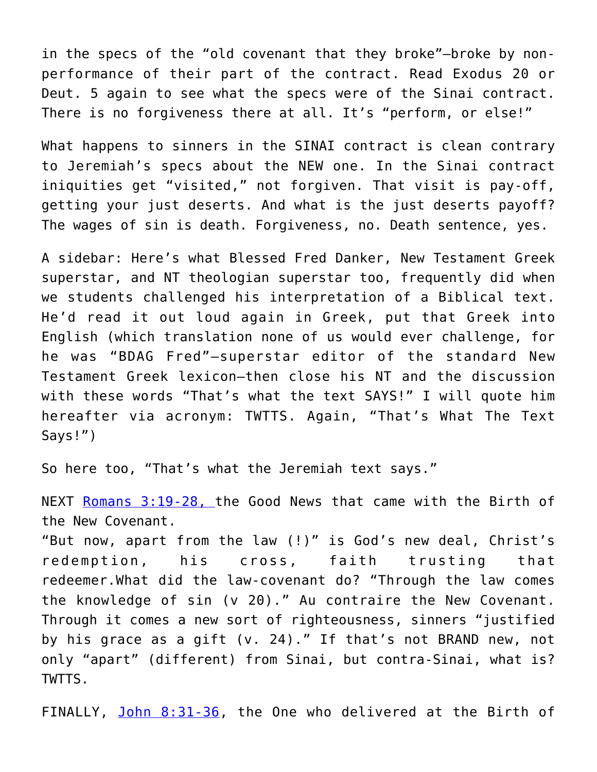in the specs of the "old covenant that they broke"—broke by nonperformance of their part of the contract. Read Exodus 20 or Deut. 5 again to see what the specs were of the Sinai contract. There is no forgiveness there at all. It's "perform, or else!"

What happens to sinners in the SINAI contract is clean contrary to Jeremiah's specs about the NEW one. In the Sinai contract iniquities get "visited," not forgiven. That visit is pay-off, getting your just deserts. And what is the just deserts payoff? The wages of sin is death. Forgiveness, no. Death sentence, yes.

A sidebar: Here's what Blessed Fred Danker, New Testament Greek superstar, and NT theologian superstar too, frequently did when we students challenged his interpretation of a Biblical text. He'd read it out loud again in Greek, put that Greek into English (which translation none of us would ever challenge, for he was "BDAG Fred"—superstar editor of the standard New Testament Greek lexicon—then close his NT and the discussion with these words "That's what the text SAYS!" I will quote him hereafter via acronym: TWTTS. Again, "That's What The Text Says!")

So here too, "That's what the Jeremiah text says."

NEXT [Romans 3:19-28, t](http://bible.oremus.org/?ql=322904045)he Good News that came with the Birth of the New Covenant.

"But now, apart from the law (!)" is God's new deal, Christ's redemption, his cross, faith trusting that redeemer.What did the law-covenant do? "Through the law comes the knowledge of sin (v 20)." Au contraire the New Covenant. Through it comes a new sort of righteousness, sinners "justified by his grace as a gift (v. 24)." If that's not BRAND new, not only "apart" (different) from Sinai, but contra-Sinai, what is? TWTTS.

FINALLY, [John 8:31-36](http://bible.oremus.org/?ql=322904202), the One who delivered at the Birth of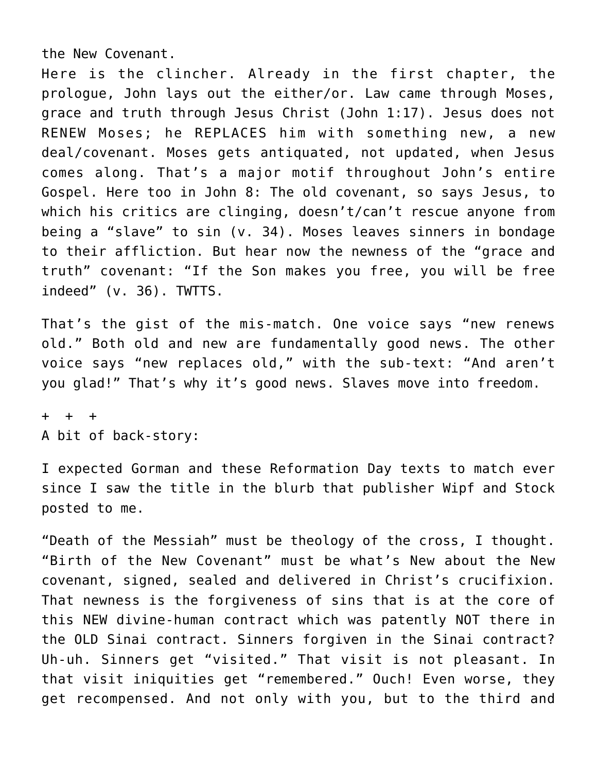the New Covenant.

Here is the clincher. Already in the first chapter, the prologue, John lays out the either/or. Law came through Moses, grace and truth through Jesus Christ (John 1:17). Jesus does not RENEW Moses; he REPLACES him with something new, a new deal/covenant. Moses gets antiquated, not updated, when Jesus comes along. That's a major motif throughout John's entire Gospel. Here too in John 8: The old covenant, so says Jesus, to which his critics are clinging, doesn't/can't rescue anyone from being a "slave" to sin (v. 34). Moses leaves sinners in bondage to their affliction. But hear now the newness of the "grace and truth" covenant: "If the Son makes you free, you will be free indeed" (v. 36). TWTTS.

That's the gist of the mis-match. One voice says "new renews old." Both old and new are fundamentally good news. The other voice says "new replaces old," with the sub-text: "And aren't you glad!" That's why it's good news. Slaves move into freedom.

+ + + A bit of back-story:

I expected Gorman and these Reformation Day texts to match ever since I saw the title in the blurb that publisher Wipf and Stock posted to me.

"Death of the Messiah" must be theology of the cross, I thought. "Birth of the New Covenant" must be what's New about the New covenant, signed, sealed and delivered in Christ's crucifixion. That newness is the forgiveness of sins that is at the core of this NEW divine-human contract which was patently NOT there in the OLD Sinai contract. Sinners forgiven in the Sinai contract? Uh-uh. Sinners get "visited." That visit is not pleasant. In that visit iniquities get "remembered." Ouch! Even worse, they get recompensed. And not only with you, but to the third and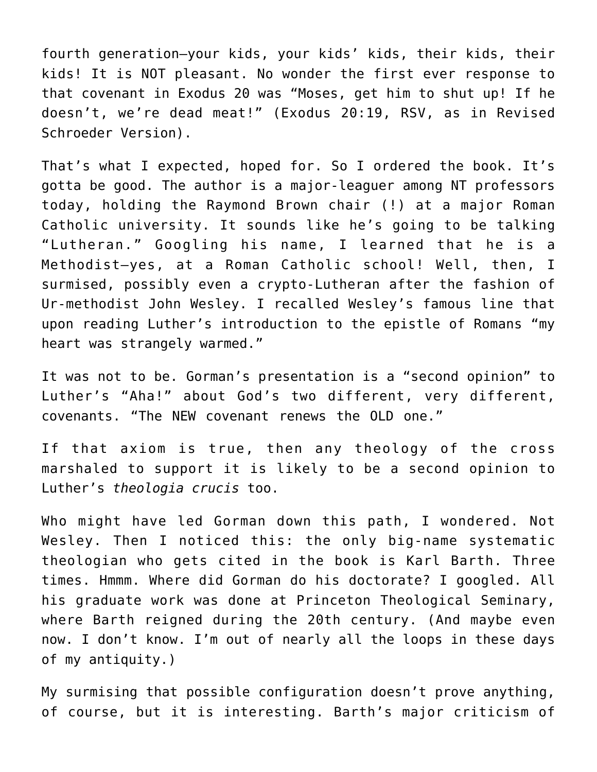fourth generation—your kids, your kids' kids, their kids, their kids! It is NOT pleasant. No wonder the first ever response to that covenant in Exodus 20 was "Moses, get him to shut up! If he doesn't, we're dead meat!" (Exodus 20:19, RSV, as in Revised Schroeder Version).

That's what I expected, hoped for. So I ordered the book. It's gotta be good. The author is a major-leaguer among NT professors today, holding the Raymond Brown chair (!) at a major Roman Catholic university. It sounds like he's going to be talking "Lutheran." Googling his name, I learned that he is a Methodist—yes, at a Roman Catholic school! Well, then, I surmised, possibly even a crypto-Lutheran after the fashion of Ur-methodist John Wesley. I recalled Wesley's famous line that upon reading Luther's introduction to the epistle of Romans "my heart was strangely warmed."

It was not to be. Gorman's presentation is a "second opinion" to Luther's "Aha!" about God's two different, very different, covenants. "The NEW covenant renews the OLD one."

If that axiom is true, then any theology of the cross marshaled to support it is likely to be a second opinion to Luther's *theologia crucis* too.

Who might have led Gorman down this path, I wondered. Not Wesley. Then I noticed this: the only big-name systematic theologian who gets cited in the book is Karl Barth. Three times. Hmmm. Where did Gorman do his doctorate? I googled. All his graduate work was done at Princeton Theological Seminary, where Barth reigned during the 20th century. (And maybe even now. I don't know. I'm out of nearly all the loops in these days of my antiquity.)

My surmising that possible configuration doesn't prove anything, of course, but it is interesting. Barth's major criticism of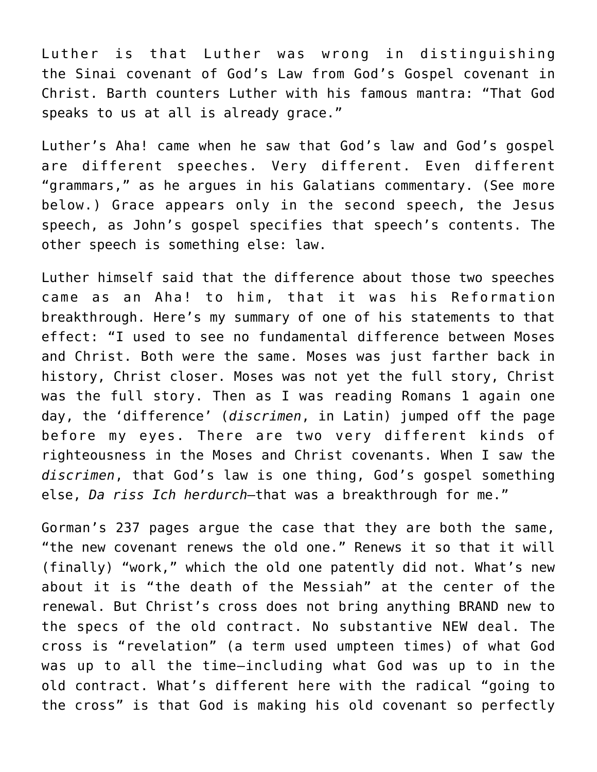Luther is that Luther was wrong in distinguishing the Sinai covenant of God's Law from God's Gospel covenant in Christ. Barth counters Luther with his famous mantra: "That God speaks to us at all is already grace."

Luther's Aha! came when he saw that God's law and God's gospel are different speeches. Very different. Even different "grammars," as he argues in his Galatians commentary. (See more below.) Grace appears only in the second speech, the Jesus speech, as John's gospel specifies that speech's contents. The other speech is something else: law.

Luther himself said that the difference about those two speeches came as an Aha! to him, that it was his Reformation breakthrough. Here's my summary of one of his statements to that effect: "I used to see no fundamental difference between Moses and Christ. Both were the same. Moses was just farther back in history, Christ closer. Moses was not yet the full story, Christ was the full story. Then as I was reading Romans 1 again one day, the 'difference' (*discrimen*, in Latin) jumped off the page before my eyes. There are two very different kinds of righteousness in the Moses and Christ covenants. When I saw the *discrimen*, that God's law is one thing, God's gospel something else, *Da riss Ich herdurch*—that was a breakthrough for me."

Gorman's 237 pages argue the case that they are both the same, "the new covenant renews the old one." Renews it so that it will (finally) "work," which the old one patently did not. What's new about it is "the death of the Messiah" at the center of the renewal. But Christ's cross does not bring anything BRAND new to the specs of the old contract. No substantive NEW deal. The cross is "revelation" (a term used umpteen times) of what God was up to all the time–including what God was up to in the old contract. What's different here with the radical "going to the cross" is that God is making his old covenant so perfectly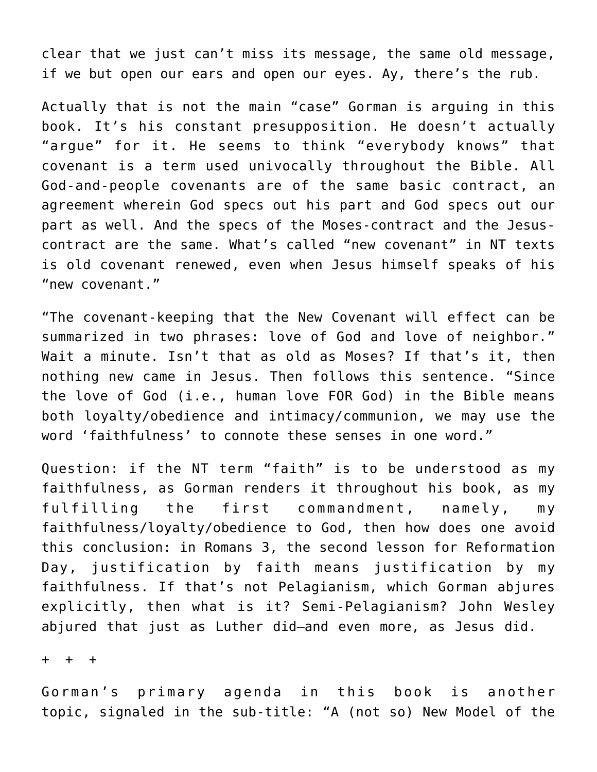clear that we just can't miss its message, the same old message, if we but open our ears and open our eyes. Ay, there's the rub.

Actually that is not the main "case" Gorman is arguing in this book. It's his constant presupposition. He doesn't actually "argue" for it. He seems to think "everybody knows" that covenant is a term used univocally throughout the Bible. All God-and-people covenants are of the same basic contract, an agreement wherein God specs out his part and God specs out our part as well. And the specs of the Moses-contract and the Jesuscontract are the same. What's called "new covenant" in NT texts is old covenant renewed, even when Jesus himself speaks of his "new covenant."

"The covenant-keeping that the New Covenant will effect can be summarized in two phrases: love of God and love of neighbor." Wait a minute. Isn't that as old as Moses? If that's it, then nothing new came in Jesus. Then follows this sentence. "Since the love of God (i.e., human love FOR God) in the Bible means both loyalty/obedience and intimacy/communion, we may use the word 'faithfulness' to connote these senses in one word."

Question: if the NT term "faith" is to be understood as my faithfulness, as Gorman renders it throughout his book, as my fulfilling the first commandment, namely, my faithfulness/loyalty/obedience to God, then how does one avoid this conclusion: in Romans 3, the second lesson for Reformation Day, justification by faith means justification by my faithfulness. If that's not Pelagianism, which Gorman abjures explicitly, then what is it? Semi-Pelagianism? John Wesley abjured that just as Luther did—and even more, as Jesus did.

+ + +

Gorman's primary agenda in this book is another topic, signaled in the sub-title: "A (not so) New Model of the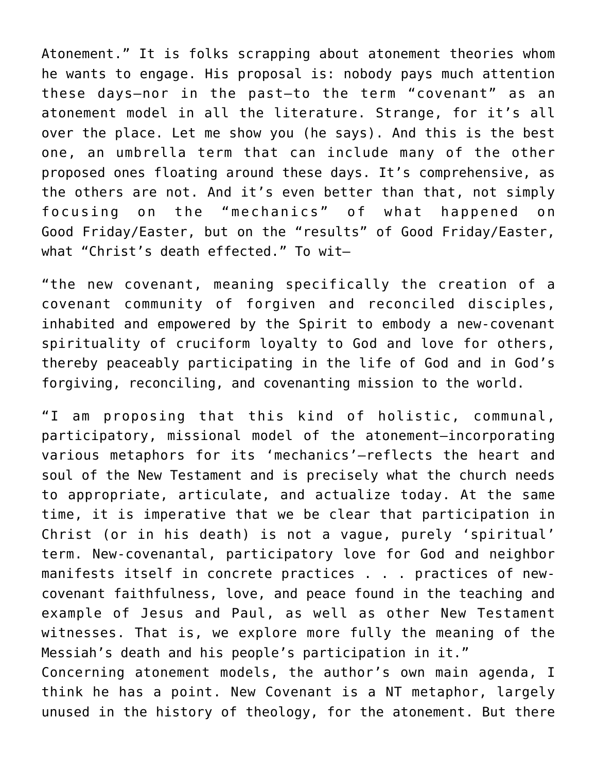Atonement." It is folks scrapping about atonement theories whom he wants to engage. His proposal is: nobody pays much attention these days–nor in the past–to the term "covenant" as an atonement model in all the literature. Strange, for it's all over the place. Let me show you (he says). And this is the best one, an umbrella term that can include many of the other proposed ones floating around these days. It's comprehensive, as the others are not. And it's even better than that, not simply focusing on the "mechanics" of what happened on Good Friday/Easter, but on the "results" of Good Friday/Easter, what "Christ's death effected." To wit—

"the new covenant, meaning specifically the creation of a covenant community of forgiven and reconciled disciples, inhabited and empowered by the Spirit to embody a new-covenant spirituality of cruciform loyalty to God and love for others, thereby peaceably participating in the life of God and in God's forgiving, reconciling, and covenanting mission to the world.

"I am proposing that this kind of holistic, communal, participatory, missional model of the atonement–incorporating various metaphors for its 'mechanics'–reflects the heart and soul of the New Testament and is precisely what the church needs to appropriate, articulate, and actualize today. At the same time, it is imperative that we be clear that participation in Christ (or in his death) is not a vague, purely 'spiritual' term. New-covenantal, participatory love for God and neighbor manifests itself in concrete practices . . . practices of newcovenant faithfulness, love, and peace found in the teaching and example of Jesus and Paul, as well as other New Testament witnesses. That is, we explore more fully the meaning of the Messiah's death and his people's participation in it." Concerning atonement models, the author's own main agenda, I think he has a point. New Covenant is a NT metaphor, largely unused in the history of theology, for the atonement. But there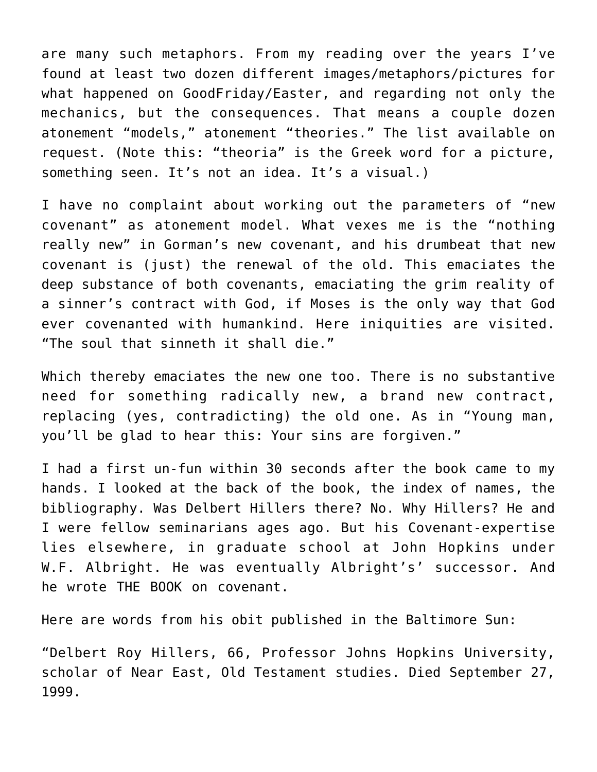are many such metaphors. From my reading over the years I've found at least two dozen different images/metaphors/pictures for what happened on GoodFriday/Easter, and regarding not only the mechanics, but the consequences. That means a couple dozen atonement "models," atonement "theories." The list available on request. (Note this: "theoria" is the Greek word for a picture, something seen. It's not an idea. It's a visual.)

I have no complaint about working out the parameters of "new covenant" as atonement model. What vexes me is the "nothing really new" in Gorman's new covenant, and his drumbeat that new covenant is (just) the renewal of the old. This emaciates the deep substance of both covenants, emaciating the grim reality of a sinner's contract with God, if Moses is the only way that God ever covenanted with humankind. Here iniquities are visited. "The soul that sinneth it shall die."

Which thereby emaciates the new one too. There is no substantive need for something radically new, a brand new contract, replacing (yes, contradicting) the old one. As in "Young man, you'll be glad to hear this: Your sins are forgiven."

I had a first un-fun within 30 seconds after the book came to my hands. I looked at the back of the book, the index of names, the bibliography. Was Delbert Hillers there? No. Why Hillers? He and I were fellow seminarians ages ago. But his Covenant-expertise lies elsewhere, in graduate school at John Hopkins under W.F. Albright. He was eventually Albright's' successor. And he wrote THE BOOK on covenant.

Here are words from his obit published in the Baltimore Sun:

"Delbert Roy Hillers, 66, Professor Johns Hopkins University, scholar of Near East, Old Testament studies. Died September 27, 1999.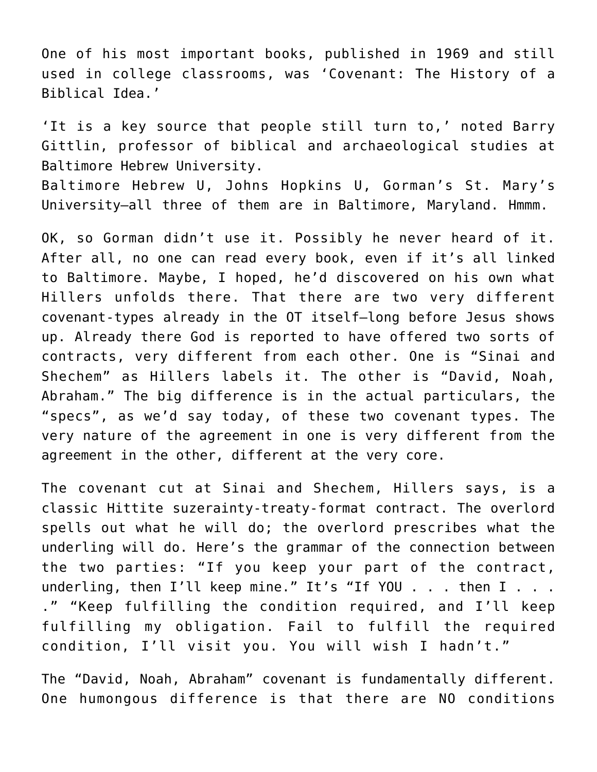One of his most important books, published in 1969 and still used in college classrooms, was 'Covenant: The History of a Biblical Idea.'

'It is a key source that people still turn to,' noted Barry Gittlin, professor of biblical and archaeological studies at Baltimore Hebrew University.

Baltimore Hebrew U, Johns Hopkins U, Gorman's St. Mary's University–all three of them are in Baltimore, Maryland. Hmmm.

OK, so Gorman didn't use it. Possibly he never heard of it. After all, no one can read every book, even if it's all linked to Baltimore. Maybe, I hoped, he'd discovered on his own what Hillers unfolds there. That there are two very different covenant-types already in the OT itself–long before Jesus shows up. Already there God is reported to have offered two sorts of contracts, very different from each other. One is "Sinai and Shechem" as Hillers labels it. The other is "David, Noah, Abraham." The big difference is in the actual particulars, the "specs", as we'd say today, of these two covenant types. The very nature of the agreement in one is very different from the agreement in the other, different at the very core.

The covenant cut at Sinai and Shechem, Hillers says, is a classic Hittite suzerainty-treaty-format contract. The overlord spells out what he will do; the overlord prescribes what the underling will do. Here's the grammar of the connection between the two parties: "If you keep your part of the contract, underling, then I'll keep mine." It's "If YOU . . . then I . . . ." "Keep fulfilling the condition required, and I'll keep fulfilling my obligation. Fail to fulfill the required condition, I'll visit you. You will wish I hadn't."

The "David, Noah, Abraham" covenant is fundamentally different. One humongous difference is that there are NO conditions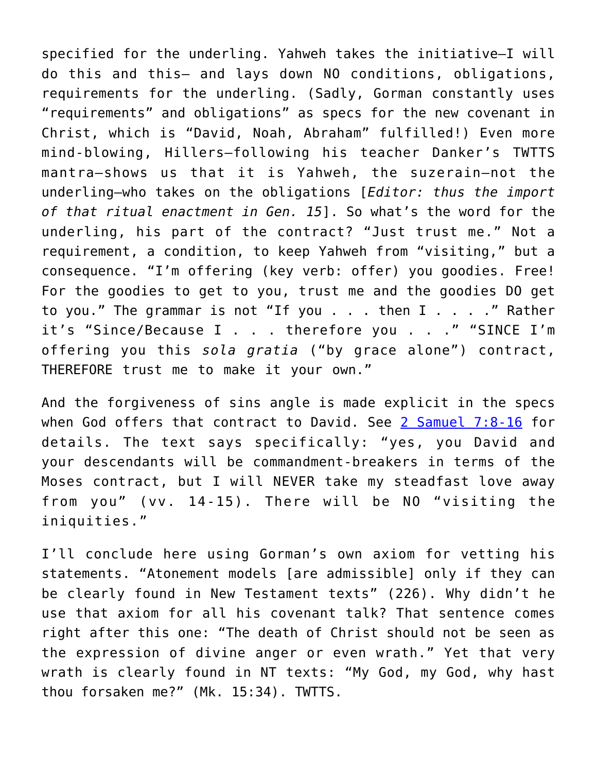specified for the underling. Yahweh takes the initiative–I will do this and this– and lays down NO conditions, obligations, requirements for the underling. (Sadly, Gorman constantly uses "requirements" and obligations" as specs for the new covenant in Christ, which is "David, Noah, Abraham" fulfilled!) Even more mind-blowing, Hillers–following his teacher Danker's TWTTS mantra—shows us that it is Yahweh, the suzerain–not the underling–who takes on the obligations [*Editor: thus the import of that ritual enactment in Gen. 15*]. So what's the word for the underling, his part of the contract? "Just trust me." Not a requirement, a condition, to keep Yahweh from "visiting," but a consequence. "I'm offering (key verb: offer) you goodies. Free! For the goodies to get to you, trust me and the goodies DO get to you." The grammar is not "If you . . . then I . . . ." Rather it's "Since/Because I . . . therefore you . . ." "SINCE I'm offering you this *sola gratia* ("by grace alone") contract, THEREFORE trust me to make it your own."

And the forgiveness of sins angle is made explicit in the specs when God offers that contract to David. See [2 Samuel 7:8-16](http://bible.oremus.org/?ql=322907140) for details. The text says specifically: "yes, you David and your descendants will be commandment-breakers in terms of the Moses contract, but I will NEVER take my steadfast love away from you" (vv. 14-15). There will be NO "visiting the iniquities."

I'll conclude here using Gorman's own axiom for vetting his statements. "Atonement models [are admissible] only if they can be clearly found in New Testament texts" (226). Why didn't he use that axiom for all his covenant talk? That sentence comes right after this one: "The death of Christ should not be seen as the expression of divine anger or even wrath." Yet that very wrath is clearly found in NT texts: "My God, my God, why hast thou forsaken me?" (Mk. 15:34). TWTTS.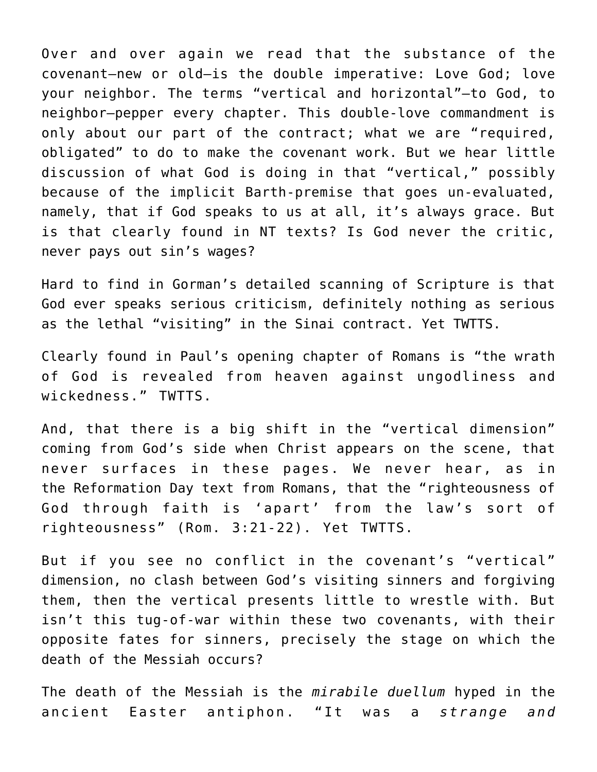Over and over again we read that the substance of the covenant–new or old–is the double imperative: Love God; love your neighbor. The terms "vertical and horizontal"–to God, to neighbor–pepper every chapter. This double-love commandment is only about our part of the contract; what we are "required, obligated" to do to make the covenant work. But we hear little discussion of what God is doing in that "vertical," possibly because of the implicit Barth-premise that goes un-evaluated, namely, that if God speaks to us at all, it's always grace. But is that clearly found in NT texts? Is God never the critic, never pays out sin's wages?

Hard to find in Gorman's detailed scanning of Scripture is that God ever speaks serious criticism, definitely nothing as serious as the lethal "visiting" in the Sinai contract. Yet TWTTS.

Clearly found in Paul's opening chapter of Romans is "the wrath of God is revealed from heaven against ungodliness and wickedness." TWTTS.

And, that there is a big shift in the "vertical dimension" coming from God's side when Christ appears on the scene, that never surfaces in these pages. We never hear, as in the Reformation Day text from Romans, that the "righteousness of God through faith is 'apart' from the law's sort of righteousness" (Rom. 3:21-22). Yet TWTTS.

But if you see no conflict in the covenant's "vertical" dimension, no clash between God's visiting sinners and forgiving them, then the vertical presents little to wrestle with. But isn't this tug-of-war within these two covenants, with their opposite fates for sinners, precisely the stage on which the death of the Messiah occurs?

The death of the Messiah is the *mirabile duellum* hyped in the ancient Easter antiphon. "It was a *strange and*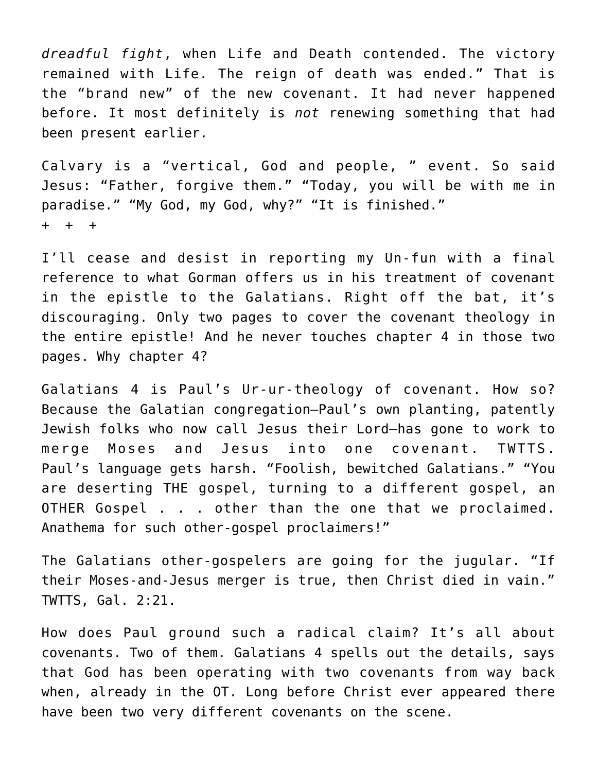*dreadful fight*, when Life and Death contended. The victory remained with Life. The reign of death was ended." That is the "brand new" of the new covenant. It had never happened before. It most definitely is *not* renewing something that had been present earlier.

Calvary is a "vertical, God and people, " event. So said Jesus: "Father, forgive them." "Today, you will be with me in paradise." "My God, my God, why?" "It is finished." + + +

I'll cease and desist in reporting my Un-fun with a final reference to what Gorman offers us in his treatment of covenant in the epistle to the Galatians. Right off the bat, it's discouraging. Only two pages to cover the covenant theology in the entire epistle! And he never touches chapter 4 in those two pages. Why chapter 4?

Galatians 4 is Paul's Ur-ur-theology of covenant. How so? Because the Galatian congregation–Paul's own planting, patently Jewish folks who now call Jesus their Lord–has gone to work to merge Moses and Jesus into one covenant. TWTTS. Paul's language gets harsh. "Foolish, bewitched Galatians." "You are deserting THE gospel, turning to a different gospel, an OTHER Gospel . . . other than the one that we proclaimed. Anathema for such other-gospel proclaimers!"

The Galatians other-gospelers are going for the jugular. "If their Moses-and-Jesus merger is true, then Christ died in vain." TWTTS, Gal. 2:21.

How does Paul ground such a radical claim? It's all about covenants. Two of them. Galatians 4 spells out the details, says that God has been operating with two covenants from way back when, already in the OT. Long before Christ ever appeared there have been two very different covenants on the scene.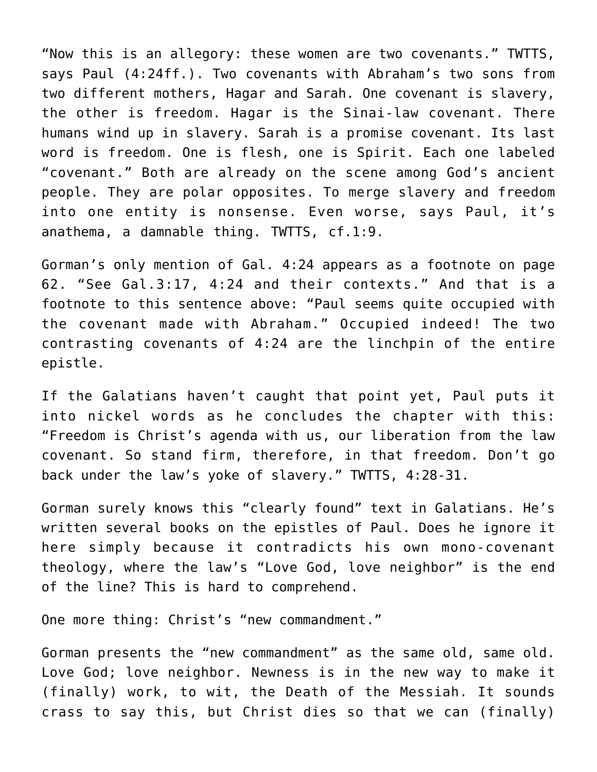"Now this is an allegory: these women are two covenants." TWTTS, says Paul (4:24ff.). Two covenants with Abraham's two sons from two different mothers, Hagar and Sarah. One covenant is slavery, the other is freedom. Hagar is the Sinai-law covenant. There humans wind up in slavery. Sarah is a promise covenant. Its last word is freedom. One is flesh, one is Spirit. Each one labeled "covenant." Both are already on the scene among God's ancient people. They are polar opposites. To merge slavery and freedom into one entity is nonsense. Even worse, says Paul, it's anathema, a damnable thing. TWTTS, cf.1:9.

Gorman's only mention of Gal. 4:24 appears as a footnote on page 62. "See Gal.3:17, 4:24 and their contexts." And that is a footnote to this sentence above: "Paul seems quite occupied with the covenant made with Abraham." Occupied indeed! The two contrasting covenants of 4:24 are the linchpin of the entire epistle.

If the Galatians haven't caught that point yet, Paul puts it into nickel words as he concludes the chapter with this: "Freedom is Christ's agenda with us, our liberation from the law covenant. So stand firm, therefore, in that freedom. Don't go back under the law's yoke of slavery." TWTTS, 4:28-31.

Gorman surely knows this "clearly found" text in Galatians. He's written several books on the epistles of Paul. Does he ignore it here simply because it contradicts his own mono-covenant theology, where the law's "Love God, love neighbor" is the end of the line? This is hard to comprehend.

One more thing: Christ's "new commandment."

Gorman presents the "new commandment" as the same old, same old. Love God; love neighbor. Newness is in the new way to make it (finally) work, to wit, the Death of the Messiah. It sounds crass to say this, but Christ dies so that we can (finally)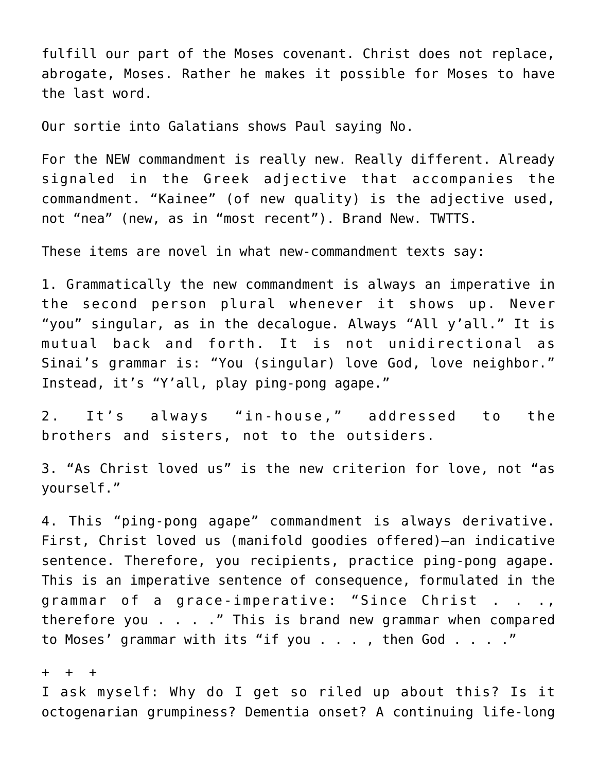fulfill our part of the Moses covenant. Christ does not replace, abrogate, Moses. Rather he makes it possible for Moses to have the last word.

Our sortie into Galatians shows Paul saying No.

For the NEW commandment is really new. Really different. Already signaled in the Greek adjective that accompanies the commandment. "Kainee" (of new quality) is the adjective used, not "nea" (new, as in "most recent"). Brand New. TWTTS.

These items are novel in what new-commandment texts say:

1. Grammatically the new commandment is always an imperative in the second person plural whenever it shows up. Never "you" singular, as in the decalogue. Always "All y'all." It is mutual back and forth. It is not unidirectional as Sinai's grammar is: "You (singular) love God, love neighbor." Instead, it's "Y'all, play ping-pong agape."

2. It's always "in-house," addressed to the brothers and sisters, not to the outsiders.

3. "As Christ loved us" is the new criterion for love, not "as yourself."

4. This "ping-pong agape" commandment is always derivative. First, Christ loved us (manifold goodies offered)–an indicative sentence. Therefore, you recipients, practice ping-pong agape. This is an imperative sentence of consequence, formulated in the grammar of a grace-imperative: "Since Christ . . ., therefore you . . . ." This is brand new grammar when compared to Moses' grammar with its "if you . . . , then God . . . ."

+ + +

I ask myself: Why do I get so riled up about this? Is it octogenarian grumpiness? Dementia onset? A continuing life-long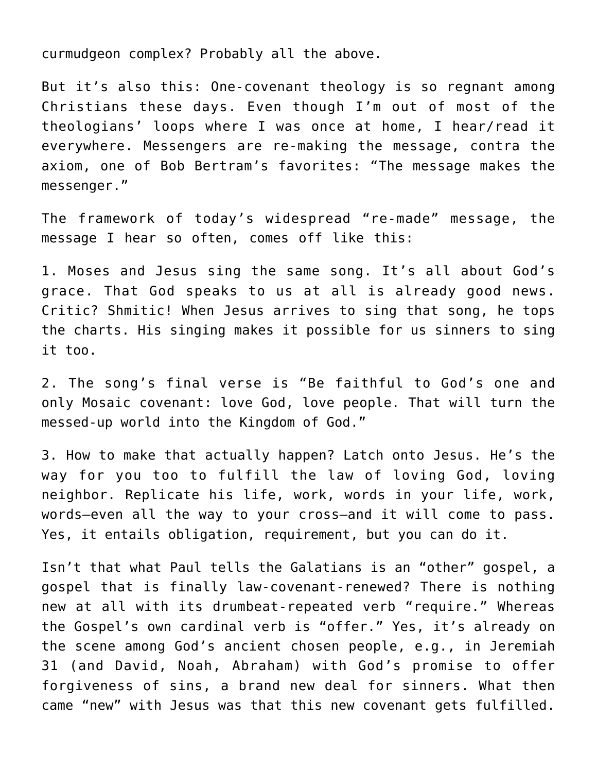curmudgeon complex? Probably all the above.

But it's also this: One-covenant theology is so regnant among Christians these days. Even though I'm out of most of the theologians' loops where I was once at home, I hear/read it everywhere. Messengers are re-making the message, contra the axiom, one of Bob Bertram's favorites: "The message makes the messenger."

The framework of today's widespread "re-made" message, the message I hear so often, comes off like this:

1. Moses and Jesus sing the same song. It's all about God's grace. That God speaks to us at all is already good news. Critic? Shmitic! When Jesus arrives to sing that song, he tops the charts. His singing makes it possible for us sinners to sing it too.

2. The song's final verse is "Be faithful to God's one and only Mosaic covenant: love God, love people. That will turn the messed-up world into the Kingdom of God."

3. How to make that actually happen? Latch onto Jesus. He's the way for you too to fulfill the law of loving God, loving neighbor. Replicate his life, work, words in your life, work, words–even all the way to your cross–and it will come to pass. Yes, it entails obligation, requirement, but you can do it.

Isn't that what Paul tells the Galatians is an "other" gospel, a gospel that is finally law-covenant-renewed? There is nothing new at all with its drumbeat-repeated verb "require." Whereas the Gospel's own cardinal verb is "offer." Yes, it's already on the scene among God's ancient chosen people, e.g., in Jeremiah 31 (and David, Noah, Abraham) with God's promise to offer forgiveness of sins, a brand new deal for sinners. What then came "new" with Jesus was that this new covenant gets fulfilled.